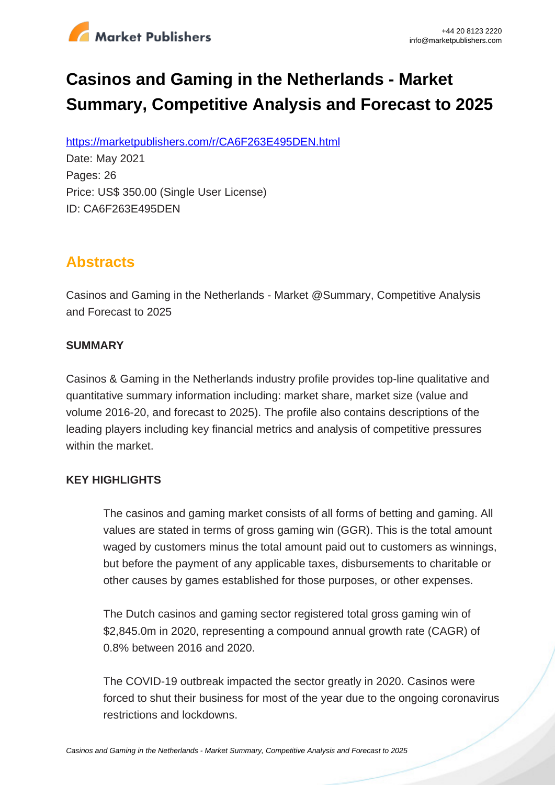

# **Casinos and Gaming in the Netherlands - Market Summary, Competitive Analysis and Forecast to 2025**

https://marketpublishers.com/r/CA6F263E495DEN.html

Date: May 2021 Pages: 26 Price: US\$ 350.00 (Single User License) ID: CA6F263E495DEN

# **Abstracts**

Casinos and Gaming in the Netherlands - Market @Summary, Competitive Analysis and Forecast to 2025

#### **SUMMARY**

Casinos & Gaming in the Netherlands industry profile provides top-line qualitative and quantitative summary information including: market share, market size (value and volume 2016-20, and forecast to 2025). The profile also contains descriptions of the leading players including key financial metrics and analysis of competitive pressures within the market.

### **KEY HIGHLIGHTS**

The casinos and gaming market consists of all forms of betting and gaming. All values are stated in terms of gross gaming win (GGR). This is the total amount waged by customers minus the total amount paid out to customers as winnings, but before the payment of any applicable taxes, disbursements to charitable or other causes by games established for those purposes, or other expenses.

The Dutch casinos and gaming sector registered total gross gaming win of \$2,845.0m in 2020, representing a compound annual growth rate (CAGR) of 0.8% between 2016 and 2020.

The COVID-19 outbreak impacted the sector greatly in 2020. Casinos were forced to shut their business for most of the year due to the ongoing coronavirus restrictions and lockdowns.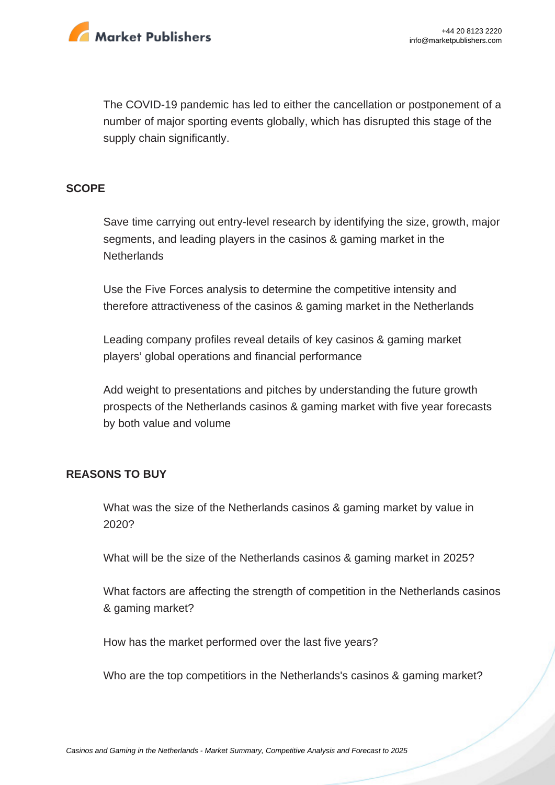

The COVID-19 pandemic has led to either the cancellation or postponement of a number of major sporting events globally, which has disrupted this stage of the supply chain significantly.

#### **SCOPE**

Save time carrying out entry-level research by identifying the size, growth, major segments, and leading players in the casinos & gaming market in the **Netherlands** 

Use the Five Forces analysis to determine the competitive intensity and therefore attractiveness of the casinos & gaming market in the Netherlands

Leading company profiles reveal details of key casinos & gaming market players' global operations and financial performance

Add weight to presentations and pitches by understanding the future growth prospects of the Netherlands casinos & gaming market with five year forecasts by both value and volume

#### **REASONS TO BUY**

What was the size of the Netherlands casinos & gaming market by value in 2020?

What will be the size of the Netherlands casinos & gaming market in 2025?

What factors are affecting the strength of competition in the Netherlands casinos & gaming market?

How has the market performed over the last five years?

Who are the top competitiors in the Netherlands's casinos & gaming market?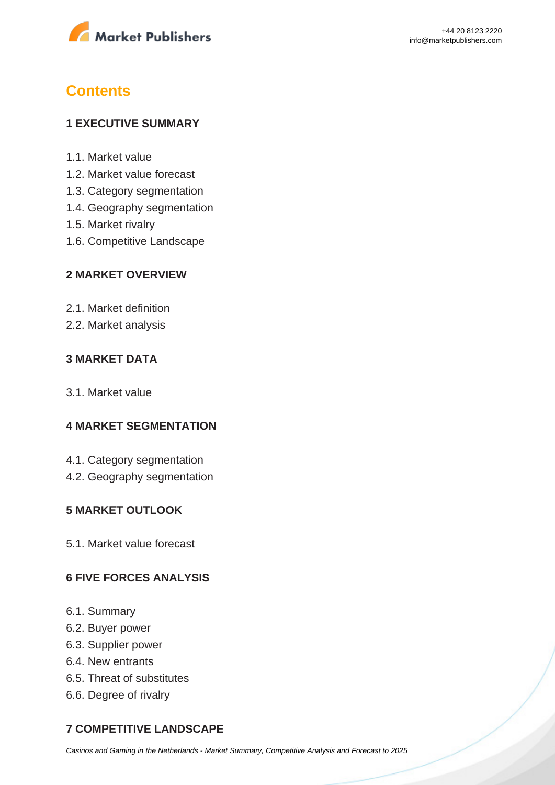

# **Contents**

#### **1 EXECUTIVE SUMMARY**

- 1.1. Market value
- 1.2. Market value forecast
- 1.3. Category segmentation
- 1.4. Geography segmentation
- 1.5. Market rivalry
- 1.6. Competitive Landscape

#### **2 MARKET OVERVIEW**

- 2.1. Market definition
- 2.2. Market analysis

#### **3 MARKET DATA**

3.1. Market value

#### **4 MARKET SEGMENTATION**

- 4.1. Category segmentation
- 4.2. Geography segmentation

#### **5 MARKET OUTLOOK**

5.1. Market value forecast

#### **6 FIVE FORCES ANALYSIS**

- 6.1. Summary
- 6.2. Buyer power
- 6.3. Supplier power
- 6.4. New entrants
- 6.5. Threat of substitutes
- 6.6. Degree of rivalry

### **7 COMPETITIVE LANDSCAPE**

[Casinos and Gaming in the Netherlands - Market Summary, Competitive Analysis and Forecast to 2025](https://marketpublishers.com/report/media-entertainment/casino-gaming/casinos-n-gaming-in-netherlands-market-summary-competitive-analysis-n-forecast-to-2025.html)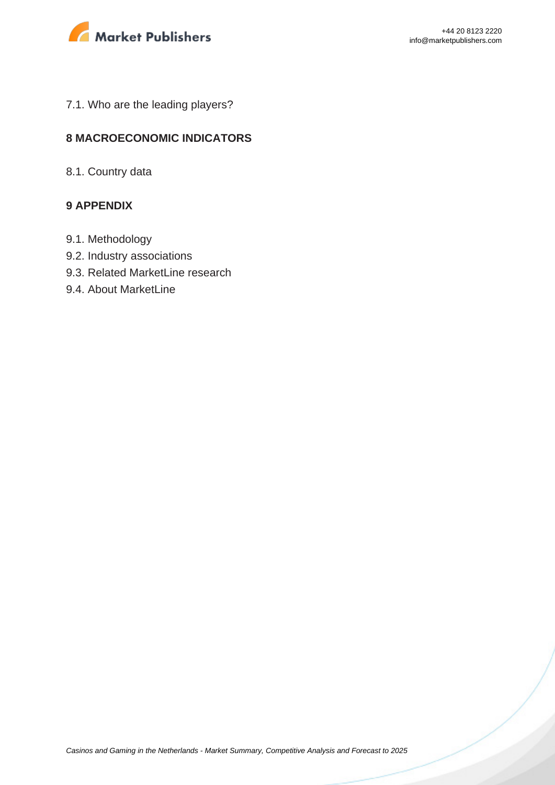

7.1. Who are the leading players?

#### **8 MACROECONOMIC INDICATORS**

8.1. Country data

#### **9 APPENDIX**

- 9.1. Methodology
- 9.2. Industry associations
- 9.3. Related MarketLine research
- 9.4. About MarketLine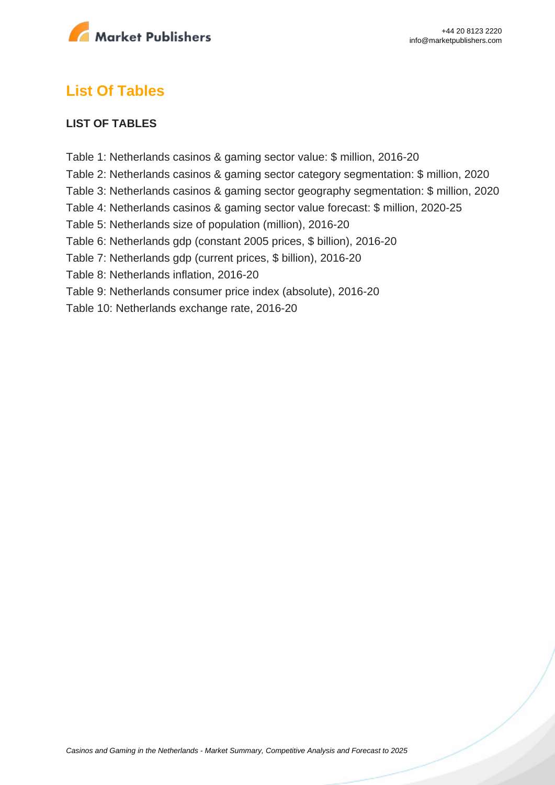

## **List Of Tables**

#### **LIST OF TABLES**

- Table 1: Netherlands casinos & gaming sector value: \$ million, 2016-20
- Table 2: Netherlands casinos & gaming sector category segmentation: \$ million, 2020
- Table 3: Netherlands casinos & gaming sector geography segmentation: \$ million, 2020
- Table 4: Netherlands casinos & gaming sector value forecast: \$ million, 2020-25
- Table 5: Netherlands size of population (million), 2016-20
- Table 6: Netherlands gdp (constant 2005 prices, \$ billion), 2016-20
- Table 7: Netherlands gdp (current prices, \$ billion), 2016-20
- Table 8: Netherlands inflation, 2016-20
- Table 9: Netherlands consumer price index (absolute), 2016-20
- Table 10: Netherlands exchange rate, 2016-20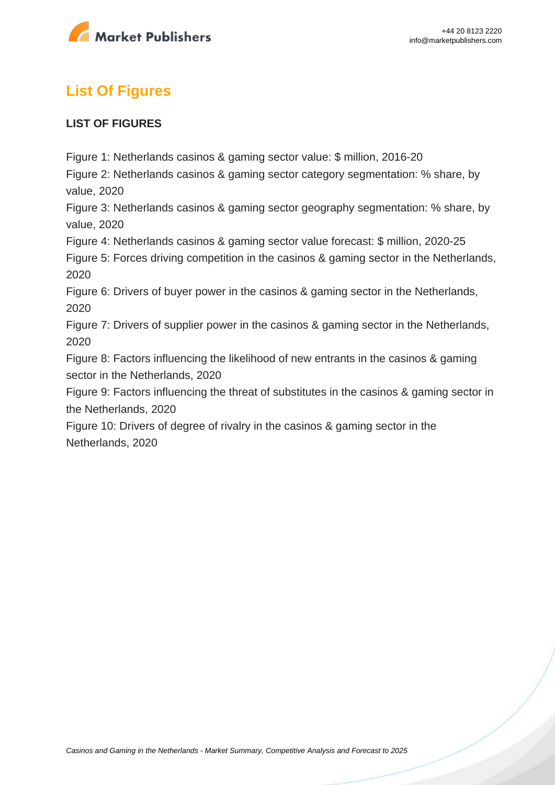

# **List Of Figures**

#### **LIST OF FIGURES**

Figure 1: Netherlands casinos & gaming sector value: \$ million, 2016-20

Figure 2: Netherlands casinos & gaming sector category segmentation: % share, by value, 2020

Figure 3: Netherlands casinos & gaming sector geography segmentation: % share, by value, 2020

Figure 4: Netherlands casinos & gaming sector value forecast: \$ million, 2020-25

Figure 5: Forces driving competition in the casinos & gaming sector in the Netherlands, 2020

Figure 6: Drivers of buyer power in the casinos & gaming sector in the Netherlands, 2020

Figure 7: Drivers of supplier power in the casinos & gaming sector in the Netherlands, 2020

Figure 8: Factors influencing the likelihood of new entrants in the casinos & gaming sector in the Netherlands, 2020

Figure 9: Factors influencing the threat of substitutes in the casinos & gaming sector in the Netherlands, 2020

Figure 10: Drivers of degree of rivalry in the casinos & gaming sector in the Netherlands, 2020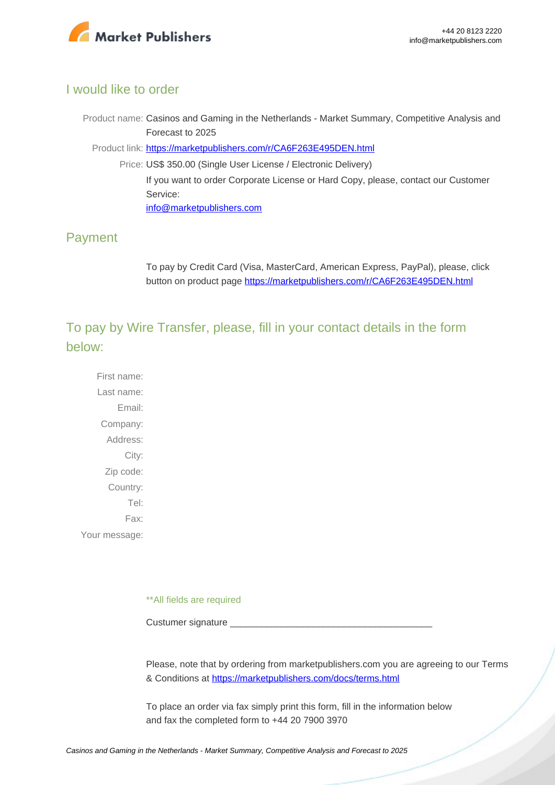

### I would like to order

Product name: Casinos and Gaming in the Netherlands - Market Summary, Competitive Analysis and Forecast to 2025

Product link: [https://marketpublishers.com/r/CA6F263E495DEN.html](https://marketpublishers.com/report/media-entertainment/casino-gaming/casinos-n-gaming-in-netherlands-market-summary-competitive-analysis-n-forecast-to-2025.html)

Price: US\$ 350.00 (Single User License / Electronic Delivery) If you want to order Corporate License or Hard Copy, please, contact our Customer Service: [info@marketpublishers.com](mailto:info@marketpublishers.com)

### Payment

To pay by Credit Card (Visa, MasterCard, American Express, PayPal), please, click button on product page [https://marketpublishers.com/r/CA6F263E495DEN.html](https://marketpublishers.com/report/media-entertainment/casino-gaming/casinos-n-gaming-in-netherlands-market-summary-competitive-analysis-n-forecast-to-2025.html)

To pay by Wire Transfer, please, fill in your contact details in the form below:

First name: Last name: Email: Company: Address: City: Zip code: Country: Tel: Fax: Your message:

\*\*All fields are required

Custumer signature

Please, note that by ordering from marketpublishers.com you are agreeing to our Terms & Conditions at<https://marketpublishers.com/docs/terms.html>

To place an order via fax simply print this form, fill in the information below and fax the completed form to +44 20 7900 3970